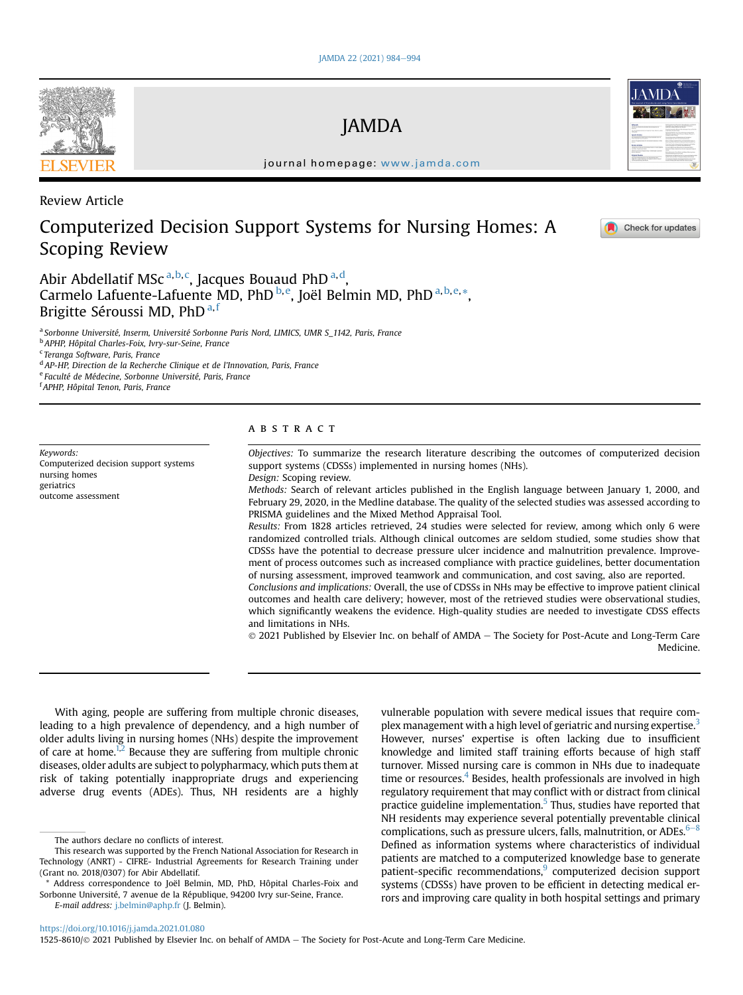# JAMDA

journal homepage: [www.jamda.com](http://www.jamda.com)

## Review Article

## Computerized Decision Support Systems for Nursing Homes: A Scoping Review



Abir Abdell[a](#page-0-0)tif MSc<sup>a,[b,](#page-0-1)[c](#page-0-2)</sup>, Jacques Bouau[d](#page-0-3) PhD<sup>a,d</sup>, Carmelo Lafuente-Lafuente MD, PhD <sup>[b,](#page-0-1) [e](#page-0-4)</sup>, Joël Belmin MD, PhD <sup>[a,](#page-0-0) [b](#page-0-1), e, \*</sup>, Brigitte Séroussi MD, PhD<sup>[a](#page-0-0),[f](#page-0-6)</sup>

<span id="page-0-0"></span><sup>a</sup> Sorbonne Université, Inserm, Université Sorbonne Paris Nord, LIMICS, UMR S\_1142, Paris, France

<span id="page-0-1"></span><sup>b</sup> APHP, Hôpital Charles-Foix, Ivry-sur-Seine, France

<span id="page-0-2"></span><sup>c</sup> Teranga Software, Paris, France

<span id="page-0-3"></span><sup>d</sup> AP-HP, Direction de la Recherche Clinique et de l'Innovation, Paris, France

<span id="page-0-4"></span><sup>e</sup> Faculté de Médecine, Sorbonne Université, Paris, France

<span id="page-0-6"></span>f APHP, Hôpital Tenon, Paris, France

Keywords: Computerized decision support systems nursing homes geriatrics outcome assessment

## ABSTRACT

Objectives: To summarize the research literature describing the outcomes of computerized decision support systems (CDSSs) implemented in nursing homes (NHs). Design: Scoping review.

Methods: Search of relevant articles published in the English language between January 1, 2000, and February 29, 2020, in the Medline database. The quality of the selected studies was assessed according to PRISMA guidelines and the Mixed Method Appraisal Tool.

Results: From 1828 articles retrieved, 24 studies were selected for review, among which only 6 were randomized controlled trials. Although clinical outcomes are seldom studied, some studies show that CDSSs have the potential to decrease pressure ulcer incidence and malnutrition prevalence. Improvement of process outcomes such as increased compliance with practice guidelines, better documentation of nursing assessment, improved teamwork and communication, and cost saving, also are reported.

Conclusions and implications: Overall, the use of CDSSs in NHs may be effective to improve patient clinical outcomes and health care delivery; however, most of the retrieved studies were observational studies, which significantly weakens the evidence. High-quality studies are needed to investigate CDSS effects and limitations in NHs.

 $@$  2021 Published by Elsevier Inc. on behalf of AMDA - The Society for Post-Acute and Long-Term Care Medicine.

With aging, people are suffering from multiple chronic diseases, leading to a high prevalence of dependency, and a high number of older adults living in nursing homes (NHs) despite the improvement of care at home.<sup>1[,2](#page-9-1)</sup> Because they are suffering from multiple chronic diseases, older adults are subject to polypharmacy, which puts them at risk of taking potentially inappropriate drugs and experiencing adverse drug events (ADEs). Thus, NH residents are a highly

plex management with a high level of geriatric and nursing expertise.<sup>[3](#page-9-2)</sup> However, nurses' expertise is often lacking due to insufficient knowledge and limited staff training efforts because of high staff turnover. Missed nursing care is common in NHs due to inadequate time or resources. $4$  Besides, health professionals are involved in high regulatory requirement that may conflict with or distract from clinical practice guideline implementation. $5$  Thus, studies have reported that NH residents may experience several potentially preventable clinical complications, such as pressure ulcers, falls, malnutrition, or ADEs. $6-8$  $6-8$  $6-8$ Defined as information systems where characteristics of individual patients are matched to a computerized knowledge base to generate patient-specific recommendations,<sup>[9](#page-9-6)</sup> computerized decision support systems (CDSSs) have proven to be efficient in detecting medical errors and improving care quality in both hospital settings and primary

vulnerable population with severe medical issues that require com-

<https://doi.org/10.1016/j.jamda.2021.01.080>

1525-8610/© 2021 Published by Elsevier Inc. on behalf of AMDA - The Society for Post-Acute and Long-Term Care Medicine.



The authors declare no conflicts of interest.

This research was supported by the French National Association for Research in Technology (ANRT) - CIFRE- Industrial Agreements for Research Training under (Grant no. 2018/0307) for Abir Abdellatif.

<span id="page-0-5"></span><sup>\*</sup> Address correspondence to Joël Belmin, MD, PhD, Hôpital Charles-Foix and Sorbonne Université, 7 avenue de la République, 94200 Ivry sur-Seine, France. E-mail address: [j.belmin@aphp.fr](mailto:j.belmin@aphp.fr) (J. Belmin).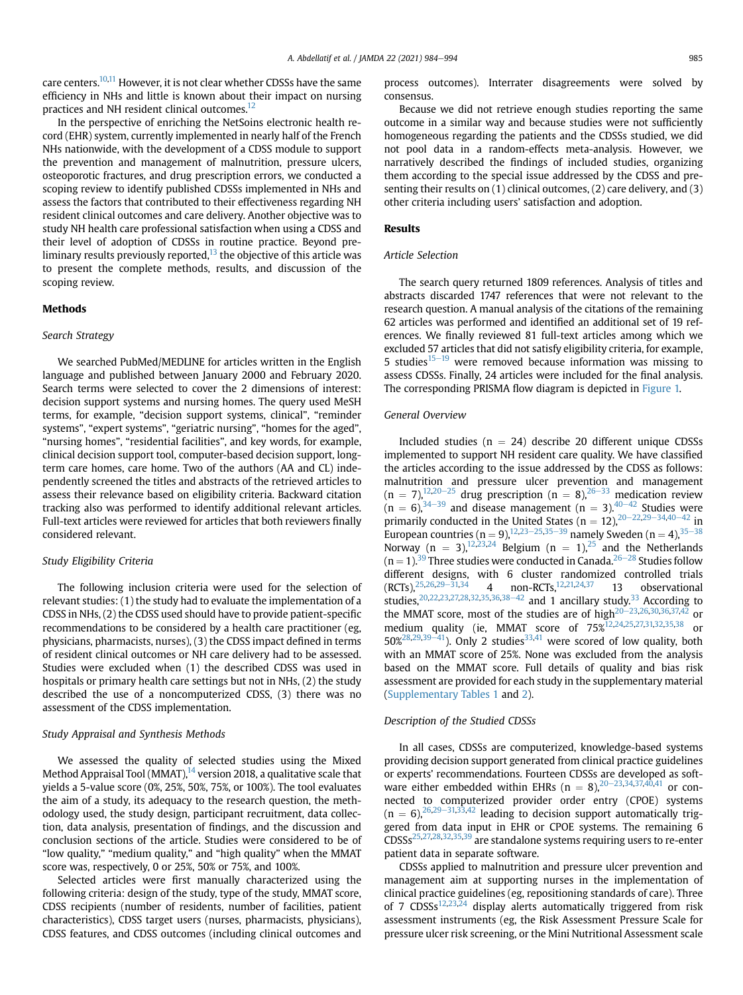care centers.<sup>10,[11](#page-9-8)</sup> However, it is not clear whether CDSSs have the same efficiency in NHs and little is known about their impact on nursing practices and NH resident clinical outcomes.<sup>12</sup>

In the perspective of enriching the NetSoins electronic health record (EHR) system, currently implemented in nearly half of the French NHs nationwide, with the development of a CDSS module to support the prevention and management of malnutrition, pressure ulcers, osteoporotic fractures, and drug prescription errors, we conducted a scoping review to identify published CDSSs implemented in NHs and assess the factors that contributed to their effectiveness regarding NH resident clinical outcomes and care delivery. Another objective was to study NH health care professional satisfaction when using a CDSS and their level of adoption of CDSSs in routine practice. Beyond preliminary results previously reported, $^{13}$  the objective of this article was to present the complete methods, results, and discussion of the scoping review.

#### Methods

#### Search Strategy

We searched PubMed/MEDLINE for articles written in the English language and published between January 2000 and February 2020. Search terms were selected to cover the 2 dimensions of interest: decision support systems and nursing homes. The query used MeSH terms, for example, "decision support systems, clinical", "reminder systems", "expert systems", "geriatric nursing", "homes for the aged", "nursing homes", "residential facilities", and key words, for example, clinical decision support tool, computer-based decision support, longterm care homes, care home. Two of the authors (AA and CL) independently screened the titles and abstracts of the retrieved articles to assess their relevance based on eligibility criteria. Backward citation tracking also was performed to identify additional relevant articles. Full-text articles were reviewed for articles that both reviewers finally considered relevant.

#### Study Eligibility Criteria

The following inclusion criteria were used for the selection of relevant studies: (1) the study had to evaluate the implementation of a CDSS in NHs, (2) the CDSS used should have to provide patient-specific recommendations to be considered by a health care practitioner (eg, physicians, pharmacists, nurses), (3) the CDSS impact defined in terms of resident clinical outcomes or NH care delivery had to be assessed. Studies were excluded when (1) the described CDSS was used in hospitals or primary health care settings but not in NHs, (2) the study described the use of a noncomputerized CDSS, (3) there was no assessment of the CDSS implementation.

### Study Appraisal and Synthesis Methods

We assessed the quality of selected studies using the Mixed Method Appraisal Tool (MMAT), $14$  version 2018, a qualitative scale that yields a 5-value score (0%, 25%, 50%, 75%, or 100%). The tool evaluates the aim of a study, its adequacy to the research question, the methodology used, the study design, participant recruitment, data collection, data analysis, presentation of findings, and the discussion and conclusion sections of the article. Studies were considered to be of "low quality," "medium quality," and "high quality" when the MMAT score was, respectively, 0 or 25%, 50% or 75%, and 100%.

Selected articles were first manually characterized using the following criteria: design of the study, type of the study, MMAT score, CDSS recipients (number of residents, number of facilities, patient characteristics), CDSS target users (nurses, pharmacists, physicians), CDSS features, and CDSS outcomes (including clinical outcomes and process outcomes). Interrater disagreements were solved by consensus.

Because we did not retrieve enough studies reporting the same outcome in a similar way and because studies were not sufficiently homogeneous regarding the patients and the CDSSs studied, we did not pool data in a random-effects meta-analysis. However, we narratively described the findings of included studies, organizing them according to the special issue addressed by the CDSS and presenting their results on (1) clinical outcomes, (2) care delivery, and (3) other criteria including users' satisfaction and adoption.

#### Results

#### Article Selection

The search query returned 1809 references. Analysis of titles and abstracts discarded 1747 references that were not relevant to the research question. A manual analysis of the citations of the remaining 62 articles was performed and identified an additional set of 19 references. We finally reviewed 81 full-text articles among which we excluded 57 articles that did not satisfy eligibility criteria, for example, 5 studies $15-19$  $15-19$  $15-19$  were removed because information was missing to assess CDSSs. Finally, 24 articles were included for the final analysis. The corresponding PRISMA flow diagram is depicted in [Figure 1.](#page-2-0)

#### General Overview

Included studies ( $n = 24$ ) describe 20 different unique CDSSs implemented to support NH resident care quality. We have classified the articles according to the issue addressed by the CDSS as follows: malnutrition and pressure ulcer prevention and management  $(n = 7)$ ,<sup>12,[20](#page-10-0)–[25](#page-10-0)</sup> drug prescription  $(n = 8)$ ,<sup>[26](#page-10-1)–[33](#page-10-1)</sup> medication review  $(n = 6)$ ,  $34-39$  $34-39$  $34-39$  and disease management  $(n = 3)$ .  $40-42$  $40-42$  $40-42$  Studies were primarily conducted in the United States  $(n = 12)$ ,  $20 - 22, 29 - 34, 40 - 42$  $20 - 22, 29 - 34, 40 - 42$  $20 - 22, 29 - 34, 40 - 42$  $20 - 22, 29 - 34, 40 - 42$  $20 - 22, 29 - 34, 40 - 42$  $20 - 22, 29 - 34, 40 - 42$  $20 - 22, 29 - 34, 40 - 42$  $20 - 22, 29 - 34, 40 - 42$  $20 - 22, 29 - 34, 40 - 42$  $20 - 22, 29 - 34, 40 - 42$  $20 - 22, 29 - 34, 40 - 42$  in European countries (n = 9),<sup>[12](#page-9-9)[,23](#page-10-5)–[25,](#page-10-5)[35](#page-10-6)–[39](#page-10-6)</sup> namely Sweden (n = 4),<sup>35–[38](#page-10-6)</sup> European countries  $\mu = 3$ ,  $\mu$ ,  $\mu$ ,  $\mu$ ,  $\mu$ ,  $\mu$ ,  $\mu$ ,  $\mu$ ,  $\mu$ ,  $\mu$ ,  $\mu$ ,  $\mu$ ,  $\mu$ ,  $\mu$ ,  $\mu$ ,  $\mu$ ,  $\mu$ ,  $\mu$ ,  $\mu$ ,  $\mu$ ,  $\mu$ ,  $\mu$ ,  $\mu$ ,  $\mu$ ,  $\mu$ ,  $\mu$ ,  $\mu$ ,  $\mu$ ,  $\mu$ ,  $\mu$ ,  $\mu$ ,  $\mu$ ,  $\mu$ ,  $(n = 1).$ <sup>[39](#page-10-9)</sup> Three studies were conducted in Canada.<sup>26–[28](#page-10-1)</sup> Studies follow different designs, with 6 cluster randomized controlled trials  $(RCTs)$ ,  $^{25,26,29-31,34}$  $^{25,26,29-31,34}$  $^{25,26,29-31,34}$  $^{25,26,29-31,34}$  $^{25,26,29-31,34}$  $^{25,26,29-31,34}$  $^{25,26,29-31,34}$  $^{25,26,29-31,34}$  4 non-RCTs,  $^{12,21,24,37}$  $^{12,21,24,37}$  $^{12,21,24,37}$  $^{12,21,24,37}$  $^{12,21,24,37}$  13 observational studies,  $20,22,23,27,28,32,35,36,38-42$  $20,22,23,27,28,32,35,36,38-42$  $20,22,23,27,28,32,35,36,38-42$  $20,22,23,27,28,32,35,36,38-42$  $20,22,23,27,28,32,35,36,38-42$  $20,22,23,27,28,32,35,36,38-42$  $20,22,23,27,28,32,35,36,38-42$  $20,22,23,27,28,32,35,36,38-42$  $20,22,23,27,28,32,35,36,38-42$  $20,22,23,27,28,32,35,36,38-42$  $20,22,23,27,28,32,35,36,38-42$  $20,22,23,27,28,32,35,36,38-42$  $20,22,23,27,28,32,35,36,38-42$  $20,22,23,27,28,32,35,36,38-42$  and 1 ancillary study.<sup>[33](#page-10-18)</sup> According to the MMAT score, most of the studies are of high<sup>20 $-$ [23](#page-10-0),[26,](#page-10-1)[30,](#page-10-19)[36](#page-10-16)[,37,](#page-10-11)[42](#page-10-20)</sub> or</sup> medium quality (ie, MMAT score of  $75\frac{\mu}{2}^{12.24,25,27,31,32,35,38}$  $75\frac{\mu}{2}^{12.24,25,27,31,32,35,38}$  $75\frac{\mu}{2}^{12.24,25,27,31,32,35,38}$  $75\frac{\mu}{2}^{12.24,25,27,31,32,35,38}$  $75\frac{\mu}{2}^{12.24,25,27,31,32,35,38}$  $75\frac{\mu}{2}^{12.24,25,27,31,32,35,38}$  $75\frac{\mu}{2}^{12.24,25,27,31,32,35,38}$  $75\frac{\mu}{2}^{12.24,25,27,31,32,35,38}$  $75\frac{\mu}{2}^{12.24,25,27,31,32,35,38}$  $75\frac{\mu}{2}^{12.24,25,27,31,32,35,38}$  $75\frac{\mu}{2}^{12.24,25,27,31,32,35,38}$  or  $50\%^{28,29,39-41}$  $50\%^{28,29,39-41}$  $50\%^{28,29,39-41}$  $50\%^{28,29,39-41}$  $50\%^{28,29,39-41}$  $50\%^{28,29,39-41}$  $50\%^{28,29,39-41}$  $50\%^{28,29,39-41}$ . Only 2 studies<sup>[33,](#page-10-18)41</sup> were scored of low quality, both with an MMAT score of 25%. None was excluded from the analysis based on the MMAT score. Full details of quality and bias risk assessment are provided for each study in the supplementary material [\(Supplementary Tables 1](#page-10-23) and [2\)](#page-10-23).

#### Description of the Studied CDSSs

In all cases, CDSSs are computerized, knowledge-based systems providing decision support generated from clinical practice guidelines or experts' recommendations. Fourteen CDSSs are developed as software either embedded within EHRs  $(n = 8)$ ,  $20 - 23$  $20 - 23$  $20 - 23$ ,  $34$ ,  $37$ ,  $40$ ,  $41$  or connected to computerized provider order entry (CPOE) systems  $(n = 6)$ ,  $^{26,29-31,33,42}$  $^{26,29-31,33,42}$  $^{26,29-31,33,42}$  $^{26,29-31,33,42}$  $^{26,29-31,33,42}$  $^{26,29-31,33,42}$  $^{26,29-31,33,42}$  $^{26,29-31,33,42}$  leading to decision support automatically triggered from data input in EHR or CPOE systems. The remaining 6 CDSSs[25](#page-10-8),[27,](#page-10-13)[28](#page-10-14),[32](#page-10-15),[35,](#page-10-6)[39](#page-10-9) are standalone systems requiring users to re-enter patient data in separate software.

CDSSs applied to malnutrition and pressure ulcer prevention and management aim at supporting nurses in the implementation of clinical practice guidelines (eg, repositioning standards of care). Three of 7  $CDSSs^{12,23,24}$  $CDSSs^{12,23,24}$  $CDSSs^{12,23,24}$  $CDSSs^{12,23,24}$  display alerts automatically triggered from risk assessment instruments (eg, the Risk Assessment Pressure Scale for pressure ulcer risk screening, or the Mini Nutritional Assessment scale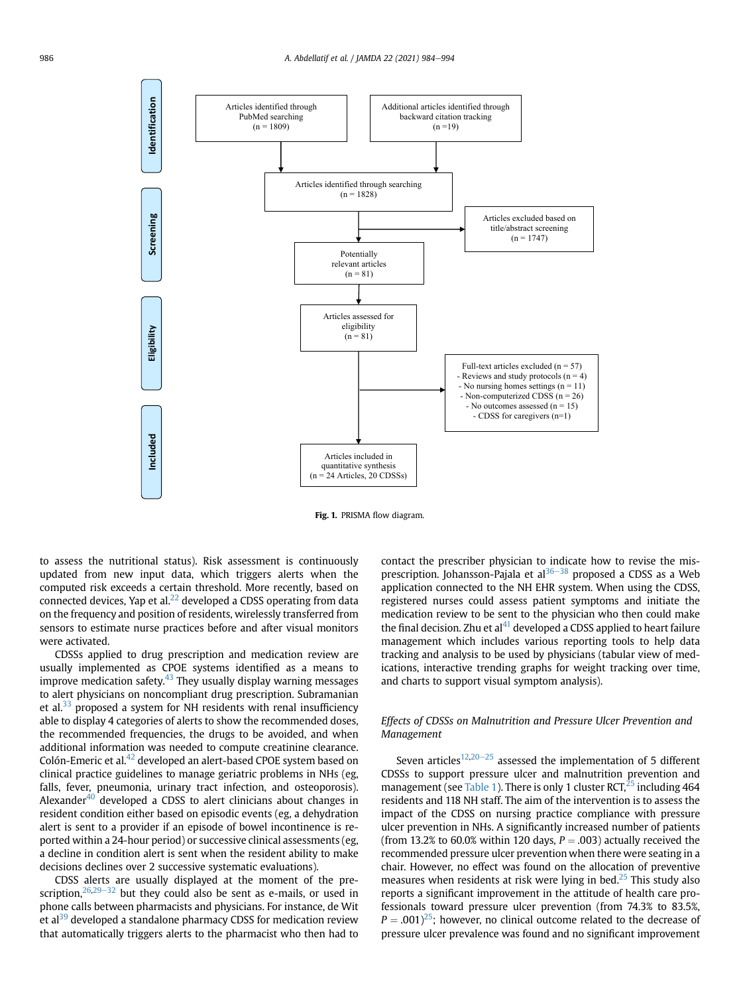<span id="page-2-0"></span>

Fig. 1. PRISMA flow diagram.

to assess the nutritional status). Risk assessment is continuously updated from new input data, which triggers alerts when the computed risk exceeds a certain threshold. More recently, based on connected devices, Yap et al. $^{22}$  developed a CDSS operating from data on the frequency and position of residents, wirelessly transferred from sensors to estimate nurse practices before and after visual monitors were activated.

CDSSs applied to drug prescription and medication review are usually implemented as CPOE systems identified as a means to improve medication safety. $43$  They usually display warning messages to alert physicians on noncompliant drug prescription. Subramanian et al. $33$  proposed a system for NH residents with renal insufficiency able to display 4 categories of alerts to show the recommended doses, the recommended frequencies, the drugs to be avoided, and when additional information was needed to compute creatinine clearance. Colón-Emeric et al.<sup>[42](#page-10-20)</sup> developed an alert-based CPOE system based on clinical practice guidelines to manage geriatric problems in NHs (eg, falls, fever, pneumonia, urinary tract infection, and osteoporosis). Alexander $40$  developed a CDSS to alert clinicians about changes in resident condition either based on episodic events (eg, a dehydration alert is sent to a provider if an episode of bowel incontinence is reported within a 24-hour period) or successive clinical assessments (eg, a decline in condition alert is sent when the resident ability to make decisions declines over 2 successive systematic evaluations).

CDSS alerts are usually displayed at the moment of the prescription,  $26,29-32$  $26,29-32$  $26,29-32$  $26,29-32$  but they could also be sent as e-mails, or used in phone calls between pharmacists and physicians. For instance, de Wit et al<sup>[39](#page-10-9)</sup> developed a standalone pharmacy CDSS for medication review that automatically triggers alerts to the pharmacist who then had to

contact the prescriber physician to indicate how to revise the misprescription. Johansson-Pajala et al $36-38$  $36-38$  $36-38$  proposed a CDSS as a Web application connected to the NH EHR system. When using the CDSS, registered nurses could assess patient symptoms and initiate the medication review to be sent to the physician who then could make the final decision. Zhu et al $^{41}$  $^{41}$  $^{41}$  developed a CDSS applied to heart failure management which includes various reporting tools to help data tracking and analysis to be used by physicians (tabular view of medications, interactive trending graphs for weight tracking over time, and charts to support visual symptom analysis).

## Effects of CDSSs on Malnutrition and Pressure Ulcer Prevention and Management

Seven articles<sup>[12](#page-9-9),[20](#page-10-0)-[25](#page-10-0)</sup> assessed the implementation of 5 different CDSSs to support pressure ulcer and malnutrition prevention and management (see [Table 1](#page-3-0)). There is only 1 cluster  $RCT<sub>1</sub><sup>25</sup>$  including 464 residents and 118 NH staff. The aim of the intervention is to assess the impact of the CDSS on nursing practice compliance with pressure ulcer prevention in NHs. A significantly increased number of patients (from 13.2% to 60.0% within 120 days,  $P = .003$ ) actually received the recommended pressure ulcer prevention when there were seating in a chair. However, no effect was found on the allocation of preventive measures when residents at risk were lying in bed.<sup>[25](#page-10-8)</sup> This study also reports a significant improvement in the attitude of health care professionals toward pressure ulcer prevention (from 74.3% to 83.5%,  $P = .001$ <sup>25</sup>; however, no clinical outcome related to the decrease of pressure ulcer prevalence was found and no significant improvement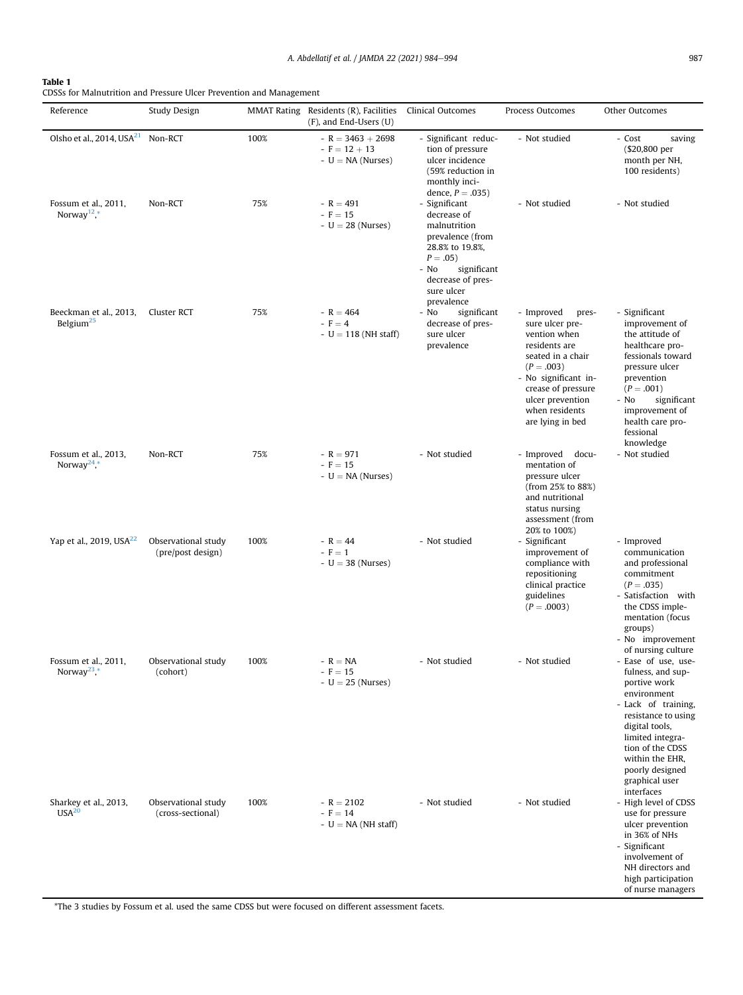## <span id="page-3-0"></span>Table 1

CDSSs for Malnutrition and Pressure Ulcer Prevention and Management

| Reference                                       | <b>Study Design</b>                      |      | MMAT Rating Residents (R), Facilities<br>(F), and End-Users (U) | Clinical Outcomes                                                                                                                                                          | Process Outcomes                                                                                                                                                                                                   | Other Outcomes                                                                                                                                                                                                                                                              |
|-------------------------------------------------|------------------------------------------|------|-----------------------------------------------------------------|----------------------------------------------------------------------------------------------------------------------------------------------------------------------------|--------------------------------------------------------------------------------------------------------------------------------------------------------------------------------------------------------------------|-----------------------------------------------------------------------------------------------------------------------------------------------------------------------------------------------------------------------------------------------------------------------------|
| Olsho et al., 2014, USA <sup>21</sup>           | Non-RCT                                  | 100% | $-R = 3463 + 2698$<br>$-F = 12 + 13$<br>$-U = NA$ (Nurses)      | - Significant reduc-<br>tion of pressure<br>ulcer incidence<br>(59% reduction in<br>monthly inci-<br>dence, $P = .035$ )                                                   | - Not studied                                                                                                                                                                                                      | - Cost<br>saving<br>(\$20,800 per<br>month per NH,<br>100 residents)                                                                                                                                                                                                        |
| Fossum et al., 2011,<br>Norway <sup>12</sup> ,* | Non-RCT                                  | 75%  | $-R = 491$<br>$- F = 15$<br>$-U = 28$ (Nurses)                  | - Significant<br>decrease of<br>malnutrition<br>prevalence (from<br>28.8% to 19.8%,<br>$P = .05$ )<br>- No<br>significant<br>decrease of pres-<br>sure ulcer<br>prevalence | - Not studied                                                                                                                                                                                                      | - Not studied                                                                                                                                                                                                                                                               |
| Beeckman et al., 2013,<br>Belgium <sup>25</sup> | Cluster RCT                              | 75%  | $-R = 464$<br>$- F = 4$<br>$- U = 118$ (NH staff)               | significant<br>- No<br>decrease of pres-<br>sure ulcer<br>prevalence                                                                                                       | - Improved<br>pres-<br>sure ulcer pre-<br>vention when<br>residents are<br>seated in a chair<br>$(P=.003)$<br>- No significant in-<br>crease of pressure<br>ulcer prevention<br>when residents<br>are lying in bed | - Significant<br>improvement of<br>the attitude of<br>healthcare pro-<br>fessionals toward<br>pressure ulcer<br>prevention<br>$(P=.001)$<br>significant<br>- No<br>improvement of<br>health care pro-<br>fessional<br>knowledge                                             |
| Fossum et al., 2013,<br>Norway <sup>24</sup> ,* | Non-RCT                                  | 75%  | $-R = 971$<br>$-F = 15$<br>$-U = NA$ (Nurses)                   | - Not studied                                                                                                                                                              | - Improved docu-<br>mentation of<br>pressure ulcer<br>(from 25% to 88%)<br>and nutritional<br>status nursing<br>assessment (from<br>20% to 100%)                                                                   | - Not studied                                                                                                                                                                                                                                                               |
| Yap et al., 2019, USA <sup>22</sup>             | Observational study<br>(pre/post design) | 100% | $-R = 44$<br>$-F = 1$<br>$-U = 38$ (Nurses)                     | - Not studied                                                                                                                                                              | - Significant<br>improvement of<br>compliance with<br>repositioning<br>clinical practice<br>guidelines<br>$(P=.0003)$                                                                                              | - Improved<br>communication<br>and professional<br>commitment<br>$(P=.035)$<br>- Satisfaction with<br>the CDSS imple-<br>mentation (focus<br>groups)<br>- No improvement                                                                                                    |
| Fossum et al., 2011,<br>Norway <sup>23</sup> ,* | Observational study<br>(cohort)          | 100% | $-R = NA$<br>$-15$<br>$-U = 25$ (Nurses)                        | - Not studied                                                                                                                                                              | - Not studied                                                                                                                                                                                                      | of nursing culture<br>- Ease of use, use-<br>fulness, and sup-<br>portive work<br>environment<br>- Lack of training,<br>resistance to using<br>digital tools,<br>limited integra-<br>tion of the CDSS<br>within the EHR,<br>poorly designed<br>graphical user<br>interfaces |
| Sharkey et al., 2013,<br>USA <sup>20</sup>      | Observational study<br>(cross-sectional) | 100% | $-R = 2102$<br>$- F = 14$<br>$-U = NA$ (NH staff)               | - Not studied                                                                                                                                                              | - Not studied                                                                                                                                                                                                      | - High level of CDSS<br>use for pressure<br>ulcer prevention<br>in 36% of NHs<br>- Significant<br>involvement of<br>NH directors and<br>high participation<br>of nurse managers                                                                                             |

\*The 3 studies by Fossum et al. used the same CDSS but were focused on different assessment facets.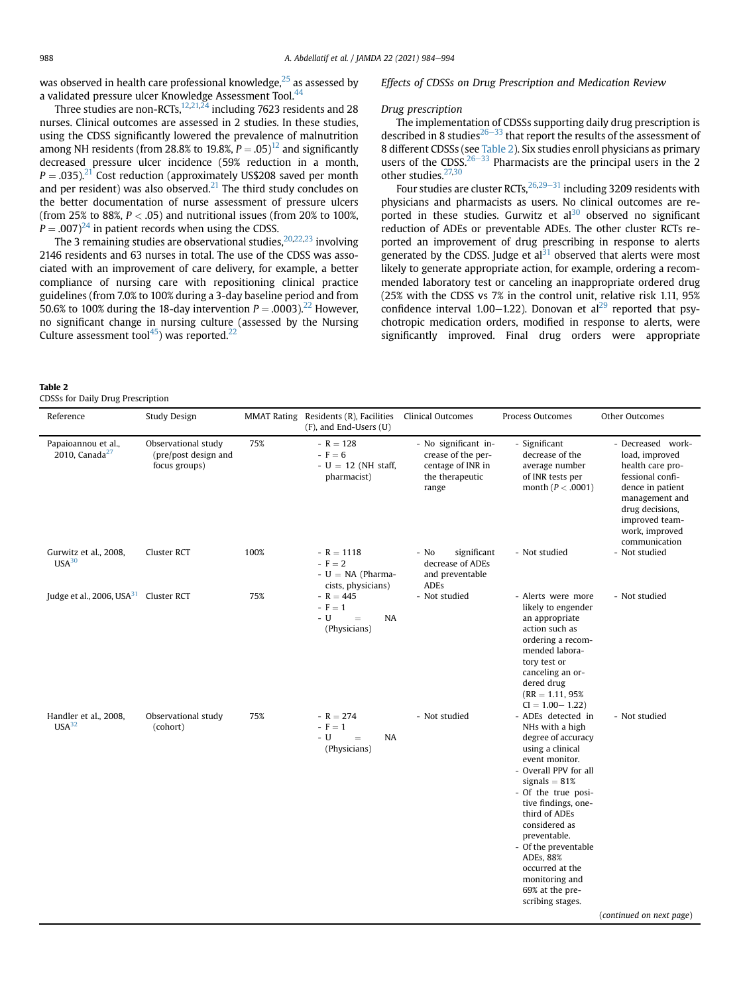was observed in health care professional knowledge, $25$  as assessed by a validated pressure ulcer Knowledge Assessment Tool.<sup>[44](#page-10-25)</sup>

Three studies are non-RCTs, $12,21,24$  $12,21,24$  $12,21,24$  including 7623 residents and 28 nurses. Clinical outcomes are assessed in 2 studies. In these studies, using the CDSS significantly lowered the prevalence of malnutrition among NH residents (from 28.8% to 19.8%,  $P = .05$ )<sup>[12](#page-9-9)</sup> and significantly decreased pressure ulcer incidence (59% reduction in a month,  $P = .035$ ).<sup>21</sup> Cost reduction (approximately US\$208 saved per month and per resident) was also observed.<sup>[21](#page-10-10)</sup> The third study concludes on the better documentation of nurse assessment of pressure ulcers (from 25% to 88%,  $P < .05$ ) and nutritional issues (from 20% to 100%,  $P = .007$ <sup>24</sup> in patient records when using the CDSS.

The 3 remaining studies are observational studies,  $20,22,23$  $20,22,23$  $20,22,23$  $20,22,23$  $20,22,23$  involving 2146 residents and 63 nurses in total. The use of the CDSS was associated with an improvement of care delivery, for example, a better compliance of nursing care with repositioning clinical practice guidelines (from 7.0% to 100% during a 3-day baseline period and from 50.6% to 100% during the 18-day intervention  $P = .0003$ ).<sup>[22](#page-10-12)</sup> However, no significant change in nursing culture (assessed by the Nursing Culture assessment tool $45$ ) was reported.<sup>[22](#page-10-12)</sup>

#### <span id="page-4-0"></span>Table 2

CDSSs for Daily Drug Prescription

Effects of CDSSs on Drug Prescription and Medication Review

#### Drug prescription

The implementation of CDSSs supporting daily drug prescription is described in 8 studies<sup>26–[33](#page-10-1)</sup> that report the results of the assessment of 8 different CDSSs (see [Table 2\)](#page-4-0). Six studies enroll physicians as primary users of the CDSS. $26-33$  $26-33$  $26-33$  Pharmacists are the principal users in the 2 other studies.<sup>[27](#page-10-13)[,30](#page-10-19)</sup>

Four studies are cluster RCTs,  $26,29-31$  $26,29-31$  $26,29-31$  $26,29-31$  including 3209 residents with physicians and pharmacists as users. No clinical outcomes are reported in these studies. Gurwitz et  $al^{30}$  observed no significant reduction of ADEs or preventable ADEs. The other cluster RCTs reported an improvement of drug prescribing in response to alerts generated by the CDSS. Judge et al $31$  observed that alerts were most likely to generate appropriate action, for example, ordering a recommended laboratory test or canceling an inappropriate ordered drug (25% with the CDSS vs 7% in the control unit, relative risk 1.11, 95% confidence interval 1.00–1.22). Donovan et al<sup>[29](#page-10-4)</sup> reported that psychotropic medication orders, modified in response to alerts, were significantly improved. Final drug orders were appropriate

| Reference                                         | Study Design                                                 | <b>MMAT Rating</b> | Residents (R), Facilities<br>(F), and End-Users (U)                 | <b>Clinical Outcomes</b>                                                                    | Process Outcomes                                                                                                                                                                                                                                                                                                                                                | Other Outcomes                                                                                                                                                                            |
|---------------------------------------------------|--------------------------------------------------------------|--------------------|---------------------------------------------------------------------|---------------------------------------------------------------------------------------------|-----------------------------------------------------------------------------------------------------------------------------------------------------------------------------------------------------------------------------------------------------------------------------------------------------------------------------------------------------------------|-------------------------------------------------------------------------------------------------------------------------------------------------------------------------------------------|
| Papaioannou et al.,<br>2010, Canada $27$          | Observational study<br>(pre/post design and<br>focus groups) | 75%                | $-R = 128$<br>$-F=6$<br>$- U = 12$ (NH staff,<br>pharmacist)        | - No significant in-<br>crease of the per-<br>centage of INR in<br>the therapeutic<br>range | - Significant<br>decrease of the<br>average number<br>of INR tests per<br>month ( $P < .0001$ )                                                                                                                                                                                                                                                                 | - Decreased work-<br>load, improved<br>health care pro-<br>fessional confi-<br>dence in patient<br>management and<br>drug decisions,<br>improved team-<br>work, improved<br>communication |
| Gurwitz et al., 2008,<br>USA <sup>30</sup>        | Cluster RCT                                                  | 100%               | $-R = 1118$<br>$-F = 2$<br>$-U = NA$ (Pharma-<br>cists, physicians) | significant<br>- No<br>decrease of ADEs<br>and preventable<br><b>ADEs</b>                   | - Not studied                                                                                                                                                                                                                                                                                                                                                   | - Not studied                                                                                                                                                                             |
| Judge et al., 2006, USA <sup>31</sup> Cluster RCT |                                                              | 75%                | $-R = 445$<br>$-F=1$<br>- U<br>NA<br>$=$<br>(Physicians)            | - Not studied                                                                               | - Alerts were more<br>likely to engender<br>an appropriate<br>action such as<br>ordering a recom-<br>mended labora-<br>tory test or<br>canceling an or-<br>dered drug<br>$(RR = 1.11, 95\%)$<br>$CI = 1.00 - 1.22$                                                                                                                                              | - Not studied                                                                                                                                                                             |
| Handler et al., 2008,<br>USA <sup>32</sup>        | Observational study<br>(cohort)                              | 75%                | $-R = 274$<br>$-F=1$<br>- U<br>NA<br>$=$<br>(Physicians)            | - Not studied                                                                               | - ADEs detected in<br>NHs with a high<br>degree of accuracy<br>using a clinical<br>event monitor.<br>- Overall PPV for all<br>signals $= 81\%$<br>- Of the true posi-<br>tive findings, one-<br>third of ADEs<br>considered as<br>preventable.<br>- Of the preventable<br>ADEs, 88%<br>occurred at the<br>monitoring and<br>69% at the pre-<br>scribing stages. | - Not studied                                                                                                                                                                             |
|                                                   |                                                              |                    |                                                                     |                                                                                             |                                                                                                                                                                                                                                                                                                                                                                 | (continued on next page)                                                                                                                                                                  |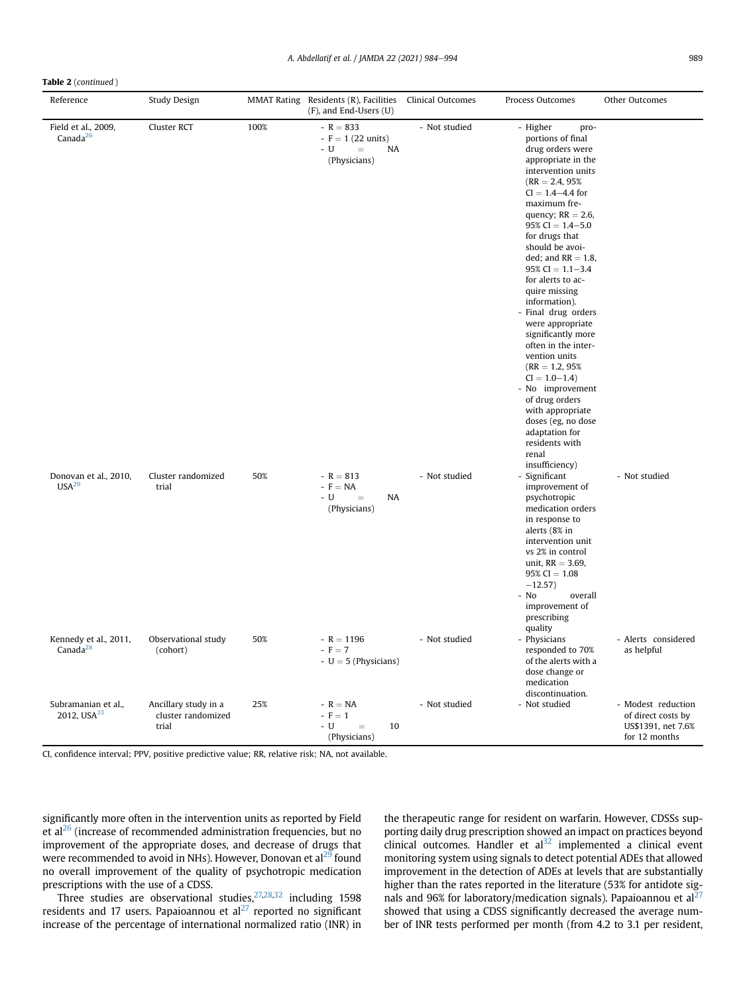Table 2 (continued )

| Reference                                      | Study Design                                        |      | MMAT Rating Residents (R), Facilities Clinical Outcomes<br>(F), and End-Users (U) |               | Process Outcomes                                                                                                                                                                                                                                                                                                                                                                                                                                                                                                                                                                                                                                                 | Other Outcomes                                                                  |
|------------------------------------------------|-----------------------------------------------------|------|-----------------------------------------------------------------------------------|---------------|------------------------------------------------------------------------------------------------------------------------------------------------------------------------------------------------------------------------------------------------------------------------------------------------------------------------------------------------------------------------------------------------------------------------------------------------------------------------------------------------------------------------------------------------------------------------------------------------------------------------------------------------------------------|---------------------------------------------------------------------------------|
| Field et al., 2009,<br>Canada $^{26}$          | Cluster RCT                                         | 100% | $-R = 833$<br>$-F = 1 (22 units)$<br>$-$ U<br>$=$<br>NA<br>(Physicians)           | - Not studied | - Higher<br>pro-<br>portions of final<br>drug orders were<br>appropriate in the<br>intervention units<br>$(RR = 2.4, 95\%)$<br>$CI = 1.4 - 4.4$ for<br>maximum fre-<br>quency; $RR = 2.6$ ,<br>$95\%$ CI = 1.4-5.0<br>for drugs that<br>should be avoi-<br>ded; and $RR = 1.8$ ,<br>$95\%$ CI = 1.1-3.4<br>for alerts to ac-<br>quire missing<br>information).<br>- Final drug orders<br>were appropriate<br>significantly more<br>often in the inter-<br>vention units<br>$(RR = 1.2, 95\%)$<br>$CI = 1.0 - 1.4$<br>- No improvement<br>of drug orders<br>with appropriate<br>doses (eg, no dose<br>adaptation for<br>residents with<br>renal<br>insufficiency) |                                                                                 |
| Donovan et al., 2010,<br>USA <sup>29</sup>     | Cluster randomized<br>trial                         | 50%  | $-R = 813$<br>$-F=NA$<br>- U<br>NA<br>$=$<br>(Physicians)                         | - Not studied | - Significant<br>improvement of<br>psychotropic<br>medication orders<br>in response to<br>alerts (8% in<br>intervention unit<br>vs 2% in control<br>unit, $RR = 3.69$ ,<br>$95\%$ CI = 1.08<br>$-12.57$ )<br>- No<br>overall<br>improvement of<br>prescribing<br>quality                                                                                                                                                                                                                                                                                                                                                                                         | - Not studied                                                                   |
| Kennedy et al., 2011,<br>Canada $^{28}$        | Observational study<br>(cohort)                     | 50%  | $-R = 1196$<br>$-F = 7$<br>$-U = 5$ (Physicians)                                  | - Not studied | - Physicians<br>responded to 70%<br>of the alerts with a<br>dose change or<br>medication<br>discontinuation.                                                                                                                                                                                                                                                                                                                                                                                                                                                                                                                                                     | - Alerts considered<br>as helpful                                               |
| Subramanian et al.,<br>2012, USA <sup>33</sup> | Ancillary study in a<br>cluster randomized<br>trial | 25%  | $-R = NA$<br>$-F=1$<br>- U<br>10<br>$=$<br>(Physicians)                           | - Not studied | - Not studied                                                                                                                                                                                                                                                                                                                                                                                                                                                                                                                                                                                                                                                    | - Modest reduction<br>of direct costs by<br>US\$1391, net 7.6%<br>for 12 months |

CI, confidence interval; PPV, positive predictive value; RR, relative risk; NA, not available.

significantly more often in the intervention units as reported by Field et al<sup>[26](#page-10-1)</sup> (increase of recommended administration frequencies, but no improvement of the appropriate doses, and decrease of drugs that were recommended to avoid in NHs). However, Donovan et al<sup>[29](#page-10-4)</sup> found no overall improvement of the quality of psychotropic medication prescriptions with the use of a CDSS.

Three studies are observational studies,  $27,28,32$  $27,28,32$  $27,28,32$  $27,28,32$  including 1598 residents and 17 users. Papaioannou et  $al^{27}$  $al^{27}$  $al^{27}$  reported no significant increase of the percentage of international normalized ratio (INR) in the therapeutic range for resident on warfarin. However, CDSSs supporting daily drug prescription showed an impact on practices beyond clinical outcomes. Handler et  $al<sup>32</sup>$  $al<sup>32</sup>$  $al<sup>32</sup>$  implemented a clinical event monitoring system using signals to detect potential ADEs that allowed improvement in the detection of ADEs at levels that are substantially higher than the rates reported in the literature (53% for antidote signals and 96% for laboratory/medication signals). Papaioannou et  $al^{27}$  $al^{27}$  $al^{27}$ showed that using a CDSS significantly decreased the average number of INR tests performed per month (from 4.2 to 3.1 per resident,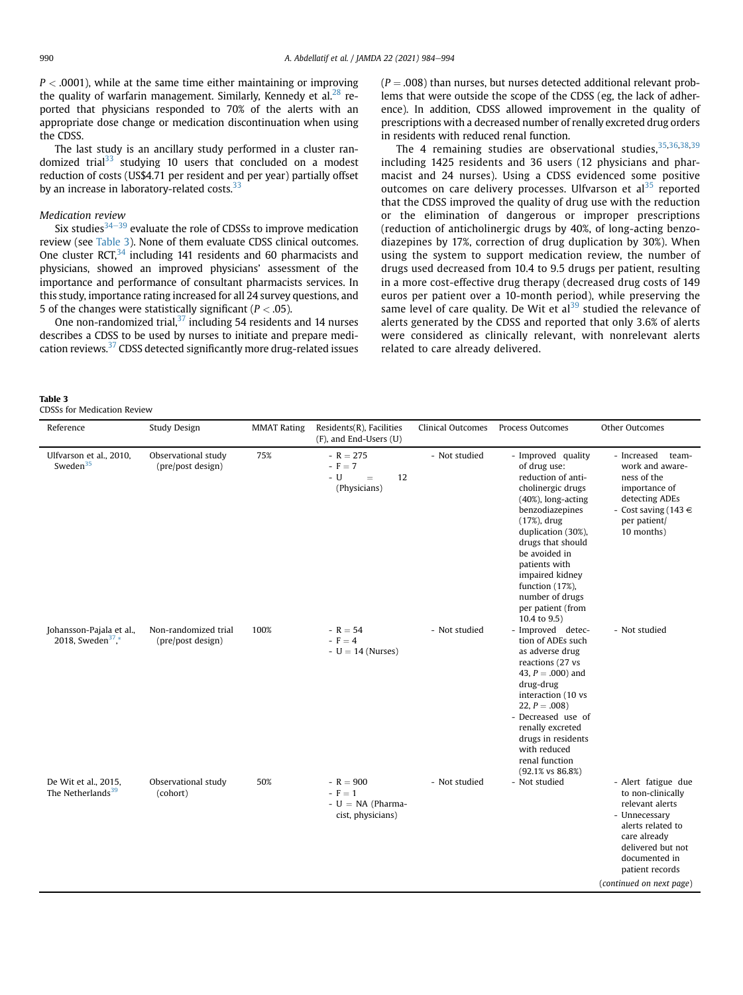$P < .0001$ ), while at the same time either maintaining or improving the quality of warfarin management. Similarly, Kennedy et al. $^{28}$  $^{28}$  $^{28}$  reported that physicians responded to 70% of the alerts with an appropriate dose change or medication discontinuation when using the CDSS.

The last study is an ancillary study performed in a cluster ran-domized trial<sup>[33](#page-10-18)</sup> studying 10 users that concluded on a modest reduction of costs (US\$4.71 per resident and per year) partially offset by an increase in laboratory-related costs. $33$ 

## Medication review

Six studies $34-39$  $34-39$  $34-39$  evaluate the role of CDSSs to improve medication review (see [Table 3](#page-6-0)). None of them evaluate CDSS clinical outcomes. One cluster  $RCT<sub>1</sub><sup>34</sup>$  including 141 residents and 60 pharmacists and physicians, showed an improved physicians' assessment of the importance and performance of consultant pharmacists services. In this study, importance rating increased for all 24 survey questions, and 5 of the changes were statistically significant ( $P < .05$ ).

One non-randomized trial, $37$  including 54 residents and 14 nurses describes a CDSS to be used by nurses to initiate and prepare medication reviews.<sup>37</sup> CDSS detected significantly more drug-related issues  $(P = .008)$  than nurses, but nurses detected additional relevant problems that were outside the scope of the CDSS (eg, the lack of adherence). In addition, CDSS allowed improvement in the quality of prescriptions with a decreased number of renally excreted drug orders in residents with reduced renal function.

The 4 remaining studies are observational studies,  $35,36,38,39$  $35,36,38,39$  $35,36,38,39$  $35,36,38,39$  $35,36,38,39$  $35,36,38,39$ including 1425 residents and 36 users (12 physicians and pharmacist and 24 nurses). Using a CDSS evidenced some positive outcomes on care delivery processes. Ulfvarson et al<sup>[35](#page-10-6)</sup> reported that the CDSS improved the quality of drug use with the reduction or the elimination of dangerous or improper prescriptions (reduction of anticholinergic drugs by 40%, of long-acting benzodiazepines by 17%, correction of drug duplication by 30%). When using the system to support medication review, the number of drugs used decreased from 10.4 to 9.5 drugs per patient, resulting in a more cost-effective drug therapy (decreased drug costs of 149 euros per patient over a 10-month period), while preserving the same level of care quality. De Wit et al<sup>[39](#page-10-9)</sup> studied the relevance of alerts generated by the CDSS and reported that only 3.6% of alerts were considered as clinically relevant, with nonrelevant alerts related to care already delivered.

#### <span id="page-6-0"></span>Table 3

CDSSs for Medication Review

| Reference                                                 | Study Design                              | <b>MMAT Rating</b> | Residents(R), Facilities<br>(F), and End-Users (U)              | Clinical Outcomes | Process Outcomes                                                                                                                                                                                                                                                                                                        | Other Outcomes                                                                                                                                                                                         |
|-----------------------------------------------------------|-------------------------------------------|--------------------|-----------------------------------------------------------------|-------------------|-------------------------------------------------------------------------------------------------------------------------------------------------------------------------------------------------------------------------------------------------------------------------------------------------------------------------|--------------------------------------------------------------------------------------------------------------------------------------------------------------------------------------------------------|
| Ulfvarson et al., 2010,<br>Sweden $35$                    | Observational study<br>(pre/post design)  | 75%                | $-R = 275$<br>$-F = 7$<br>- U<br>12<br>$=$<br>(Physicians)      | - Not studied     | - Improved quality<br>of drug use:<br>reduction of anti-<br>cholinergic drugs<br>$(40\%)$ , long-acting<br>benzodiazepines<br>$(17%)$ , drug<br>duplication (30%),<br>drugs that should<br>be avoided in<br>patients with<br>impaired kidney<br>function (17%),<br>number of drugs<br>per patient (from<br>10.4 to 9.5) | - Increased<br>team-<br>work and aware-<br>ness of the<br>importance of<br>detecting ADEs<br>- Cost saving (143 $\in$<br>per patient/<br>10 months)                                                    |
| Johansson-Pajala et al.,<br>2018, Sweden <sup>37</sup> ,* | Non-randomized trial<br>(pre/post design) | 100%               | $-R = 54$<br>$-F = 4$<br>$-U = 14$ (Nurses)                     | - Not studied     | - Improved detec-<br>tion of ADEs such<br>as adverse drug<br>reactions (27 vs<br>43, $P = .000$ ) and<br>drug-drug<br>interaction (10 vs<br>22, $P = .008$ )<br>- Decreased use of<br>renally excreted<br>drugs in residents<br>with reduced<br>renal function<br>(92.1% vs 86.8%)                                      | - Not studied                                                                                                                                                                                          |
| De Wit et al., 2015,<br>The Netherlands <sup>39</sup>     | Observational study<br>(cohort)           | 50%                | $-R = 900$<br>$-F=1$<br>$-U = NA$ (Pharma-<br>cist, physicians) | - Not studied     | - Not studied                                                                                                                                                                                                                                                                                                           | - Alert fatigue due<br>to non-clinically<br>relevant alerts<br>- Unnecessary<br>alerts related to<br>care already<br>delivered but not<br>documented in<br>patient records<br>(continued on next page) |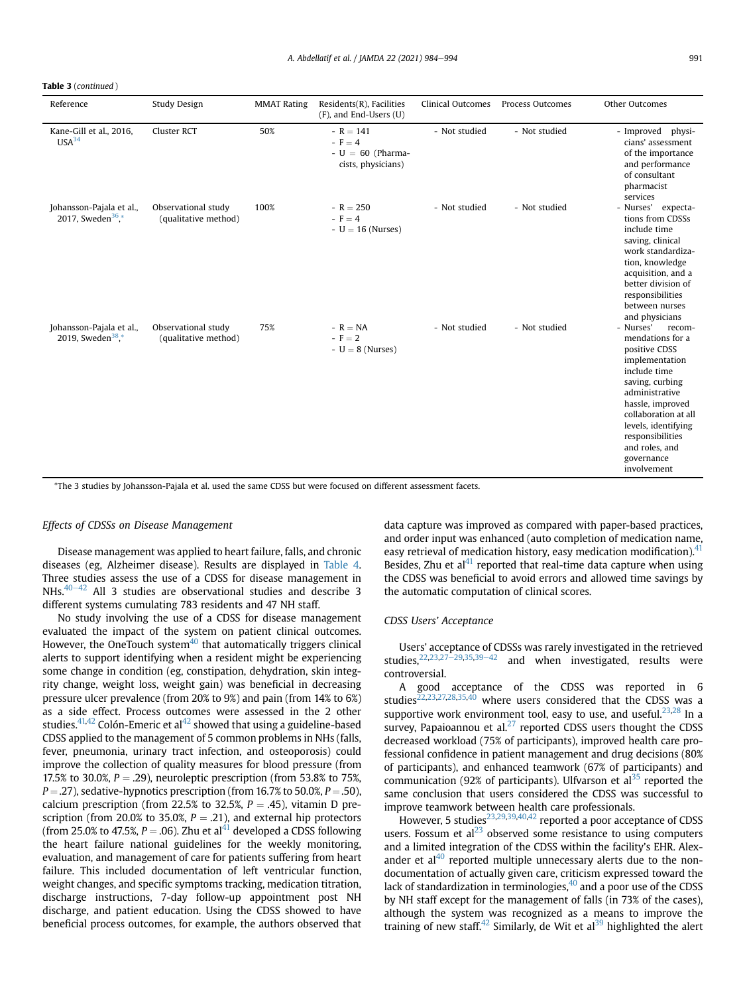Table 3 (continued )

| Reference                                                 | Study Design                                | <b>MMAT Rating</b> | Residents(R), Facilities<br>(F), and End-Users (U)                 | <b>Clinical Outcomes</b> | Process Outcomes | Other Outcomes                                                                                                                                                                                                                                                        |
|-----------------------------------------------------------|---------------------------------------------|--------------------|--------------------------------------------------------------------|--------------------------|------------------|-----------------------------------------------------------------------------------------------------------------------------------------------------------------------------------------------------------------------------------------------------------------------|
| Kane-Gill et al., 2016,<br>USA <sup>34</sup>              | Cluster RCT                                 | 50%                | $-R = 141$<br>$-F = 4$<br>$-U = 60$ (Pharma-<br>cists, physicians) | - Not studied            | - Not studied    | - Improved physi-<br>cians' assessment<br>of the importance<br>and performance<br>of consultant<br>pharmacist<br>services                                                                                                                                             |
| Johansson-Pajala et al.,<br>2017, Sweden <sup>36</sup> .* | Observational study<br>(qualitative method) | 100%               | $-R = 250$<br>$-F = 4$<br>$- U = 16$ (Nurses)                      | - Not studied            | - Not studied    | - Nurses' expecta-<br>tions from CDSSs<br>include time<br>saving, clinical<br>work standardiza-<br>tion, knowledge<br>acquisition, and a<br>better division of<br>responsibilities<br>between nurses<br>and physicians                                                |
| Johansson-Pajala et al.,<br>2019, Sweden <sup>38</sup> ,* | Observational study<br>(qualitative method) | 75%                | $-R = NA$<br>$-F = 2$<br>$-U = 8$ (Nurses)                         | - Not studied            | - Not studied    | - Nurses'<br>recom-<br>mendations for a<br>positive CDSS<br>implementation<br>include time<br>saving, curbing<br>administrative<br>hassle, improved<br>collaboration at all<br>levels, identifying<br>responsibilities<br>and roles, and<br>governance<br>involvement |

\*The 3 studies by Johansson-Pajala et al. used the same CDSS but were focused on different assessment facets.

#### Effects of CDSSs on Disease Management

Disease management was applied to heart failure, falls, and chronic diseases (eg, Alzheimer disease). Results are displayed in [Table 4.](#page-8-0) Three studies assess the use of a CDSS for disease management in NHs. $40-42$  $40-42$  All 3 studies are observational studies and describe 3 different systems cumulating 783 residents and 47 NH staff.

No study involving the use of a CDSS for disease management evaluated the impact of the system on patient clinical outcomes. However, the OneTouch system $40$  that automatically triggers clinical alerts to support identifying when a resident might be experiencing some change in condition (eg, constipation, dehydration, skin integrity change, weight loss, weight gain) was beneficial in decreasing pressure ulcer prevalence (from 20% to 9%) and pain (from 14% to 6%) as a side effect. Process outcomes were assessed in the 2 other studies. $41,42$  $41,42$  Colón-Emeric et al $42$  showed that using a guideline-based CDSS applied to the management of 5 common problems in NHs (falls, fever, pneumonia, urinary tract infection, and osteoporosis) could improve the collection of quality measures for blood pressure (from 17.5% to 30.0%,  $P = .29$ ), neuroleptic prescription (from 53.8% to 75%,  $P = .27$ ), sedative-hypnotics prescription (from 16.7% to 50.0%,  $P = .50$ ), calcium prescription (from 22.5% to 32.5%,  $P = .45$ ), vitamin D prescription (from 20.0% to 35.0%,  $P = .21$ ), and external hip protectors (from 25.0% to 47.5%,  $P = .06$ ). Zhu et al<sup>[41](#page-10-22)</sup> developed a CDSS following the heart failure national guidelines for the weekly monitoring, evaluation, and management of care for patients suffering from heart failure. This included documentation of left ventricular function, weight changes, and specific symptoms tracking, medication titration, discharge instructions, 7-day follow-up appointment post NH discharge, and patient education. Using the CDSS showed to have beneficial process outcomes, for example, the authors observed that

data capture was improved as compared with paper-based practices, and order input was enhanced (auto completion of medication name, easy retrieval of medication history, easy medication modification).<sup>41</sup> Besides, Zhu et al $^{41}$  reported that real-time data capture when using the CDSS was beneficial to avoid errors and allowed time savings by the automatic computation of clinical scores.

#### CDSS Users' Acceptance

Users' acceptance of CDSSs was rarely investigated in the retrieved studies.<sup>22[,23](#page-10-5)[,27](#page-10-13)-[29](#page-10-13),[35,](#page-10-6)[39](#page-10-9)-[42](#page-10-9)</sup> and when investigated, results were controversial.

A good acceptance of the CDSS was reported in 6 studies $22,23,27,28,35,40$  $22,23,27,28,35,40$  $22,23,27,28,35,40$  $22,23,27,28,35,40$  $22,23,27,28,35,40$  $22,23,27,28,35,40$  $22,23,27,28,35,40$  $22,23,27,28,35,40$  where users considered that the CDSS was a supportive work environment tool, easy to use, and useful. $23,28$  $23,28$  In a survey, Papaioannou et al. $^{27}$  $^{27}$  $^{27}$  reported CDSS users thought the CDSS decreased workload (75% of participants), improved health care professional confidence in patient management and drug decisions (80% of participants), and enhanced teamwork (67% of participants) and communication (92% of participants). Ulfvarson et al<sup>35</sup> reported the same conclusion that users considered the CDSS was successful to improve teamwork between health care professionals.

However, 5 studies<sup>23[,29](#page-10-4),[39](#page-10-9),[40,](#page-10-3)[42](#page-10-20)</sup> reported a poor acceptance of CDSS users. Fossum et  $al<sup>23</sup>$  $al<sup>23</sup>$  $al<sup>23</sup>$  observed some resistance to using computers and a limited integration of the CDSS within the facility's EHR. Alexander et al $40$  reported multiple unnecessary alerts due to the nondocumentation of actually given care, criticism expressed toward the lack of standardization in terminologies, $40$  and a poor use of the CDSS by NH staff except for the management of falls (in 73% of the cases), although the system was recognized as a means to improve the training of new staff.<sup>42</sup> Similarly, de Wit et al<sup>[39](#page-10-9)</sup> highlighted the alert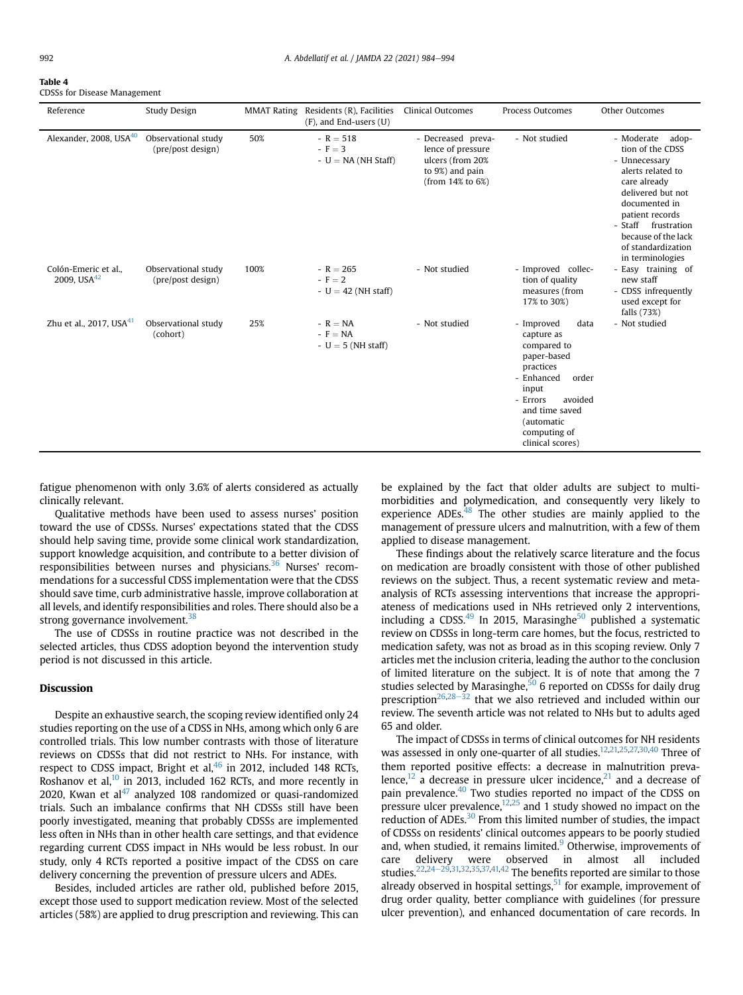#### <span id="page-8-0"></span>Table 4

CDSSs for Disease Management

| Reference                                     | Study Design                             | <b>MMAT Rating</b> | Residents (R), Facilities<br>$(F)$ , and End-users $(U)$ | Clinical Outcomes                                                                                  | Process Outcomes                                                                                                                                                                                       | Other Outcomes                                                                                                                                                                                                                                    |
|-----------------------------------------------|------------------------------------------|--------------------|----------------------------------------------------------|----------------------------------------------------------------------------------------------------|--------------------------------------------------------------------------------------------------------------------------------------------------------------------------------------------------------|---------------------------------------------------------------------------------------------------------------------------------------------------------------------------------------------------------------------------------------------------|
| Alexander, 2008, USA <sup>40</sup>            | Observational study<br>(pre/post design) | 50%                | $-R = 518$<br>$-F = 3$<br>$-U = NA$ (NH Staff)           | - Decreased preva-<br>lence of pressure<br>ulcers (from 20%<br>to 9%) and pain<br>(from 14% to 6%) | - Not studied                                                                                                                                                                                          | - Moderate<br>adop-<br>tion of the CDSS<br>- Unnecessary<br>alerts related to<br>care already<br>delivered but not<br>documented in<br>patient records<br>- Staff<br>frustration<br>because of the lack<br>of standardization<br>in terminologies |
| Colón-Emeric et al<br>2009, USA <sup>42</sup> | Observational study<br>(pre/post design) | 100%               | $-R = 265$<br>$-F = 2$<br>$- U = 42$ (NH staff)          | - Not studied                                                                                      | - Improved collec-<br>tion of quality<br>measures (from<br>17% to 30%)                                                                                                                                 | - Easy training of<br>new staff<br>- CDSS infrequently<br>used except for<br>falls (73%)                                                                                                                                                          |
| Zhu et al., 2017, USA $41$                    | Observational study<br>(cohort)          | 25%                | $-R = NA$<br>$-F = NA$<br>$-U = 5$ (NH staff)            | - Not studied                                                                                      | data<br>- Improved<br>capture as<br>compared to<br>paper-based<br>practices<br>- Enhanced<br>order<br>input<br>- Errors<br>avoided<br>and time saved<br>(automatic<br>computing of<br>clinical scores) | - Not studied                                                                                                                                                                                                                                     |

fatigue phenomenon with only 3.6% of alerts considered as actually clinically relevant.

Qualitative methods have been used to assess nurses' position toward the use of CDSSs. Nurses' expectations stated that the CDSS should help saving time, provide some clinical work standardization, support knowledge acquisition, and contribute to a better division of responsibilities between nurses and physicians.<sup>36</sup> Nurses' recommendations for a successful CDSS implementation were that the CDSS should save time, curb administrative hassle, improve collaboration at all levels, and identify responsibilities and roles. There should also be a strong governance involvement.<sup>38</sup>

The use of CDSSs in routine practice was not described in the selected articles, thus CDSS adoption beyond the intervention study period is not discussed in this article.

### Discussion

Despite an exhaustive search, the scoping review identified only 24 studies reporting on the use of a CDSS in NHs, among which only 6 are controlled trials. This low number contrasts with those of literature reviews on CDSSs that did not restrict to NHs. For instance, with respect to CDSS impact, Bright et al, $46$  in 2012, included 148 RCTs, Roshanov et al, $^{10}$  $^{10}$  $^{10}$  in 2013, included 162 RCTs, and more recently in 2020, Kwan et  $al^{47}$  $al^{47}$  $al^{47}$  analyzed 108 randomized or quasi-randomized trials. Such an imbalance confirms that NH CDSSs still have been poorly investigated, meaning that probably CDSSs are implemented less often in NHs than in other health care settings, and that evidence regarding current CDSS impact in NHs would be less robust. In our study, only 4 RCTs reported a positive impact of the CDSS on care delivery concerning the prevention of pressure ulcers and ADEs.

Besides, included articles are rather old, published before 2015, except those used to support medication review. Most of the selected articles (58%) are applied to drug prescription and reviewing. This can be explained by the fact that older adults are subject to multimorbidities and polymedication, and consequently very likely to experience ADEs. $48$  The other studies are mainly applied to the management of pressure ulcers and malnutrition, with a few of them applied to disease management.

These findings about the relatively scarce literature and the focus on medication are broadly consistent with those of other published reviews on the subject. Thus, a recent systematic review and metaanalysis of RCTs assessing interventions that increase the appropriateness of medications used in NHs retrieved only 2 interventions, including a CDSS. $49$  In 2015, Marasinghe<sup>50</sup> published a systematic review on CDSSs in long-term care homes, but the focus, restricted to medication safety, was not as broad as in this scoping review. Only 7 articles met the inclusion criteria, leading the author to the conclusion of limited literature on the subject. It is of note that among the 7 studies selected by Marasinghe, $50$  6 reported on CDSSs for daily drug prescription<sup>26[,28](#page-10-14)–[32](#page-10-14)</sup> that we also retrieved and included within our review. The seventh article was not related to NHs but to adults aged 65 and older.

The impact of CDSSs in terms of clinical outcomes for NH residents was assessed in only one-quarter of all studies.<sup>[12](#page-9-9)[,21,](#page-10-10)[25](#page-10-8),[27,](#page-10-13)[30](#page-10-19),[40](#page-10-3)</sup> Three of them reported positive effects: a decrease in malnutrition prevalence,<sup>12</sup> a decrease in pressure ulcer incidence, $^{21}$  and a decrease of pain prevalence.<sup>40</sup> Two studies reported no impact of the CDSS on pressure ulcer prevalence,  $12,25$  $12,25$  and 1 study showed no impact on the reduction of ADEs.<sup>30</sup> From this limited number of studies, the impact of CDSSs on residents' clinical outcomes appears to be poorly studied and, when studied, it remains limited. $9$  Otherwise, improvements of care delivery were observed in almost all included studies.<sup>[22,](#page-10-12)[24](#page-10-7)–[29](#page-10-7)[,31,](#page-10-21)[32,](#page-10-15)[35](#page-10-6)[,37,](#page-10-11)[41,](#page-10-22)[42](#page-10-20)</sup> The benefits reported are similar to those already observed in hospital settings, $51$  for example, improvement of drug order quality, better compliance with guidelines (for pressure ulcer prevention), and enhanced documentation of care records. In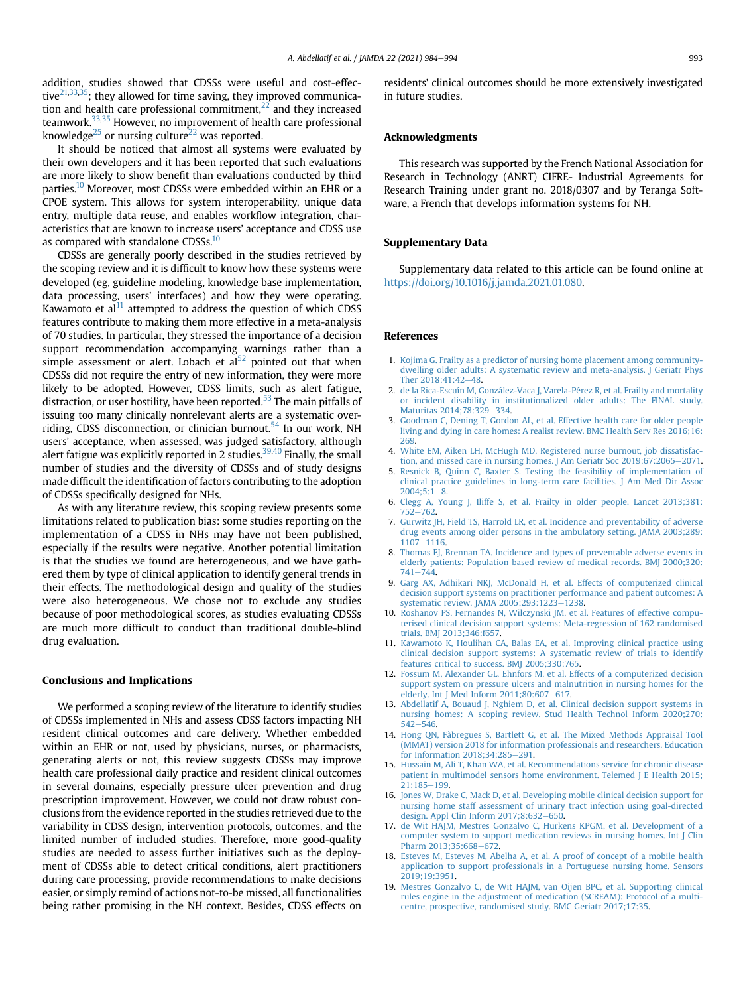addition, studies showed that CDSSs were useful and cost-effective $21,33,35$  $21,33,35$  $21,33,35$  $21,33,35$ ; they allowed for time saving, they improved communication and health care professional commitment, $22$  and they increased teamwork[.33](#page-10-18)[,35](#page-10-6) However, no improvement of health care professional knowledge<sup>25</sup> or nursing culture<sup>22</sup> was reported.

It should be noticed that almost all systems were evaluated by their own developers and it has been reported that such evaluations are more likely to show benefit than evaluations conducted by third parties.<sup>10</sup> Moreover, most CDSSs were embedded within an EHR or a CPOE system. This allows for system interoperability, unique data entry, multiple data reuse, and enables workflow integration, characteristics that are known to increase users' acceptance and CDSS use as compared with standalone CDSSs.<sup>10</sup>

CDSSs are generally poorly described in the studies retrieved by the scoping review and it is difficult to know how these systems were developed (eg, guideline modeling, knowledge base implementation, data processing, users' interfaces) and how they were operating. Kawamoto et al $<sup>11</sup>$  $<sup>11</sup>$  $<sup>11</sup>$  attempted to address the question of which CDSS</sup> features contribute to making them more effective in a meta-analysis of 70 studies. In particular, they stressed the importance of a decision support recommendation accompanying warnings rather than a simple assessment or alert. Lobach et  $al<sup>52</sup>$  pointed out that when CDSSs did not require the entry of new information, they were more likely to be adopted. However, CDSS limits, such as alert fatigue, distraction, or user hostility, have been reported.<sup>[53](#page-10-34)</sup> The main pitfalls of issuing too many clinically nonrelevant alerts are a systematic overriding, CDSS disconnection, or clinician burnout.<sup>54</sup> In our work, NH users' acceptance, when assessed, was judged satisfactory, although alert fatigue was explicitly reported in 2 studies.<sup>[39,](#page-10-9)[40](#page-10-3)</sup> Finally, the small number of studies and the diversity of CDSSs and of study designs made difficult the identification of factors contributing to the adoption of CDSSs specifically designed for NHs.

As with any literature review, this scoping review presents some limitations related to publication bias: some studies reporting on the implementation of a CDSS in NHs may have not been published, especially if the results were negative. Another potential limitation is that the studies we found are heterogeneous, and we have gathered them by type of clinical application to identify general trends in their effects. The methodological design and quality of the studies were also heterogeneous. We chose not to exclude any studies because of poor methodological scores, as studies evaluating CDSSs are much more difficult to conduct than traditional double-blind drug evaluation.

#### Conclusions and Implications

We performed a scoping review of the literature to identify studies of CDSSs implemented in NHs and assess CDSS factors impacting NH resident clinical outcomes and care delivery. Whether embedded within an EHR or not, used by physicians, nurses, or pharmacists, generating alerts or not, this review suggests CDSSs may improve health care professional daily practice and resident clinical outcomes in several domains, especially pressure ulcer prevention and drug prescription improvement. However, we could not draw robust conclusions from the evidence reported in the studies retrieved due to the variability in CDSS design, intervention protocols, outcomes, and the limited number of included studies. Therefore, more good-quality studies are needed to assess further initiatives such as the deployment of CDSSs able to detect critical conditions, alert practitioners during care processing, provide recommendations to make decisions easier, or simply remind of actions not-to-be missed, all functionalities being rather promising in the NH context. Besides, CDSS effects on

residents' clinical outcomes should be more extensively investigated in future studies.

#### Acknowledgments

This research was supported by the French National Association for Research in Technology (ANRT) CIFRE- Industrial Agreements for Research Training under grant no. 2018/0307 and by Teranga Software, a French that develops information systems for NH.

#### Supplementary Data

Supplementary data related to this article can be found online at <https://doi.org/10.1016/j.jamda.2021.01.080>.

#### <span id="page-9-0"></span>References

- <span id="page-9-1"></span>1. [Kojima G. Frailty as a predictor of nursing home placement among community](http://refhub.elsevier.com/S1525-8610(21)00142-0/sref1)[dwelling older adults: A systematic review and meta-analysis. J Geriatr Phys](http://refhub.elsevier.com/S1525-8610(21)00142-0/sref1) Ther 2018:41:42-[48.](http://refhub.elsevier.com/S1525-8610(21)00142-0/sref1)
- <span id="page-9-2"></span>2. [de la Rica-Escuín M, González-Vaca J, Varela-Pérez R, et al. Frailty and mortality](http://refhub.elsevier.com/S1525-8610(21)00142-0/sref2) [or incident disability in institutionalized older adults: The FINAL study.](http://refhub.elsevier.com/S1525-8610(21)00142-0/sref2) [Maturitas 2014;78:329](http://refhub.elsevier.com/S1525-8610(21)00142-0/sref2)-[334.](http://refhub.elsevier.com/S1525-8610(21)00142-0/sref2)
- 3. [Goodman C, Dening T, Gordon AL, et al. Effective health care for older people](http://refhub.elsevier.com/S1525-8610(21)00142-0/sref3) [living and dying in care homes: A realist review. BMC Health Serv Res 2016;16:](http://refhub.elsevier.com/S1525-8610(21)00142-0/sref3) [269.](http://refhub.elsevier.com/S1525-8610(21)00142-0/sref3)
- <span id="page-9-4"></span><span id="page-9-3"></span>4. [White EM, Aiken LH, McHugh MD. Registered nurse burnout, job dissatisfac](http://refhub.elsevier.com/S1525-8610(21)00142-0/sref4)[tion, and missed care in nursing homes. J Am Geriatr Soc 2019;67:2065](http://refhub.elsevier.com/S1525-8610(21)00142-0/sref4)-[2071](http://refhub.elsevier.com/S1525-8610(21)00142-0/sref4).
- 5. [Resnick B, Quinn C, Baxter S. Testing the feasibility of implementation of](http://refhub.elsevier.com/S1525-8610(21)00142-0/sref5) [clinical practice guidelines in long-term care facilities. J Am Med Dir Assoc](http://refhub.elsevier.com/S1525-8610(21)00142-0/sref5)  $2004:5:1-8.$  $2004:5:1-8.$  $2004:5:1-8.$
- <span id="page-9-5"></span>6. [Clegg A, Young J, Iliffe S, et al. Frailty in older people. Lancet 2013;381:](http://refhub.elsevier.com/S1525-8610(21)00142-0/sref6) [752](http://refhub.elsevier.com/S1525-8610(21)00142-0/sref6)-[762.](http://refhub.elsevier.com/S1525-8610(21)00142-0/sref6)
- 7. [Gurwitz JH, Field TS, Harrold LR, et al. Incidence and preventability of adverse](http://refhub.elsevier.com/S1525-8610(21)00142-0/sref7) [drug events among older persons in the ambulatory setting. JAMA 2003;289:](http://refhub.elsevier.com/S1525-8610(21)00142-0/sref7) [1107](http://refhub.elsevier.com/S1525-8610(21)00142-0/sref7)-1116
- <span id="page-9-6"></span>8. [Thomas EJ, Brennan TA. Incidence and types of preventable adverse events in](http://refhub.elsevier.com/S1525-8610(21)00142-0/sref8) [elderly patients: Population based review of medical records. BMJ 2000;320:](http://refhub.elsevier.com/S1525-8610(21)00142-0/sref8)  $741 - 744.$  $741 - 744.$  $741 - 744.$
- <span id="page-9-7"></span>9. [Garg AX, Adhikari NKJ, McDonald H, et al. Effects of computerized clinical](http://refhub.elsevier.com/S1525-8610(21)00142-0/sref9) [decision support systems on practitioner performance and patient outcomes: A](http://refhub.elsevier.com/S1525-8610(21)00142-0/sref9) [systematic review. JAMA 2005;293:1223](http://refhub.elsevier.com/S1525-8610(21)00142-0/sref9)-1238
- <span id="page-9-8"></span>10. [Roshanov PS, Fernandes N, Wilczynski JM, et al. Features of effective compu](http://refhub.elsevier.com/S1525-8610(21)00142-0/sref10)[terised clinical decision support systems: Meta-regression of 162 randomised](http://refhub.elsevier.com/S1525-8610(21)00142-0/sref10) [trials. BMJ 2013;346:f657.](http://refhub.elsevier.com/S1525-8610(21)00142-0/sref10)
- 11. [Kawamoto K, Houlihan CA, Balas EA, et al. Improving clinical practice using](http://refhub.elsevier.com/S1525-8610(21)00142-0/sref11) [clinical decision support systems: A systematic review of trials to identify](http://refhub.elsevier.com/S1525-8610(21)00142-0/sref11) [features critical to success. BMJ 2005;330:765](http://refhub.elsevier.com/S1525-8610(21)00142-0/sref11).
- <span id="page-9-10"></span><span id="page-9-9"></span>12. [Fossum M, Alexander GL, Ehnfors M, et al. Effects of a computerized decision](http://refhub.elsevier.com/S1525-8610(21)00142-0/sref12) [support system on pressure ulcers and malnutrition in nursing homes for the](http://refhub.elsevier.com/S1525-8610(21)00142-0/sref12) elderly. Int J Med Inform  $2011;80:607-617$ .
- <span id="page-9-11"></span>13. [Abdellatif A, Bouaud J, Nghiem D, et al. Clinical decision support systems in](http://refhub.elsevier.com/S1525-8610(21)00142-0/sref13) [nursing homes: A scoping review. Stud Health Technol Inform 2020;270:](http://refhub.elsevier.com/S1525-8610(21)00142-0/sref13)  $542 - 546$  $542 - 546$  $542 - 546$
- <span id="page-9-12"></span>14. [Hong QN, Fàbregues S, Bartlett G, et al. The Mixed Methods Appraisal Tool](http://refhub.elsevier.com/S1525-8610(21)00142-0/sref14) [\(MMAT\) version 2018 for information professionals and researchers. Education](http://refhub.elsevier.com/S1525-8610(21)00142-0/sref14) [for Information 2018;34:285](http://refhub.elsevier.com/S1525-8610(21)00142-0/sref14)-[291.](http://refhub.elsevier.com/S1525-8610(21)00142-0/sref14)
- 15. [Hussain M, Ali T, Khan WA, et al. Recommendations service for chronic disease](http://refhub.elsevier.com/S1525-8610(21)00142-0/sref15) [patient in multimodel sensors home environment. Telemed J E Health 2015;](http://refhub.elsevier.com/S1525-8610(21)00142-0/sref15) [21:185](http://refhub.elsevier.com/S1525-8610(21)00142-0/sref15)-[199](http://refhub.elsevier.com/S1525-8610(21)00142-0/sref15).
- 16. [Jones W, Drake C, Mack D, et al. Developing mobile clinical decision support for](http://refhub.elsevier.com/S1525-8610(21)00142-0/sref16) [nursing home staff assessment of urinary tract infection using goal-directed](http://refhub.elsevier.com/S1525-8610(21)00142-0/sref16) [design. Appl Clin Inform 2017;8:632](http://refhub.elsevier.com/S1525-8610(21)00142-0/sref16)-[650.](http://refhub.elsevier.com/S1525-8610(21)00142-0/sref16)
- 17. [de Wit HAJM, Mestres Gonzalvo C, Hurkens KPGM, et al. Development of a](http://refhub.elsevier.com/S1525-8610(21)00142-0/sref17) [computer system to support medication reviews in nursing homes. Int J Clin](http://refhub.elsevier.com/S1525-8610(21)00142-0/sref17) [Pharm 2013;35:668](http://refhub.elsevier.com/S1525-8610(21)00142-0/sref17)-[672.](http://refhub.elsevier.com/S1525-8610(21)00142-0/sref17)
- 18. [Esteves M, Esteves M, Abelha A, et al. A proof of concept of a mobile health](http://refhub.elsevier.com/S1525-8610(21)00142-0/sref18) [application to support professionals in a Portuguese nursing home. Sensors](http://refhub.elsevier.com/S1525-8610(21)00142-0/sref18) [2019;19:3951](http://refhub.elsevier.com/S1525-8610(21)00142-0/sref18).
- 19. [Mestres Gonzalvo C, de Wit HAJM, van Oijen BPC, et al. Supporting clinical](http://refhub.elsevier.com/S1525-8610(21)00142-0/sref19) [rules engine in the adjustment of medication \(SCREAM\): Protocol of a multi](http://refhub.elsevier.com/S1525-8610(21)00142-0/sref19)[centre, prospective, randomised study. BMC Geriatr 2017;17:35.](http://refhub.elsevier.com/S1525-8610(21)00142-0/sref19)